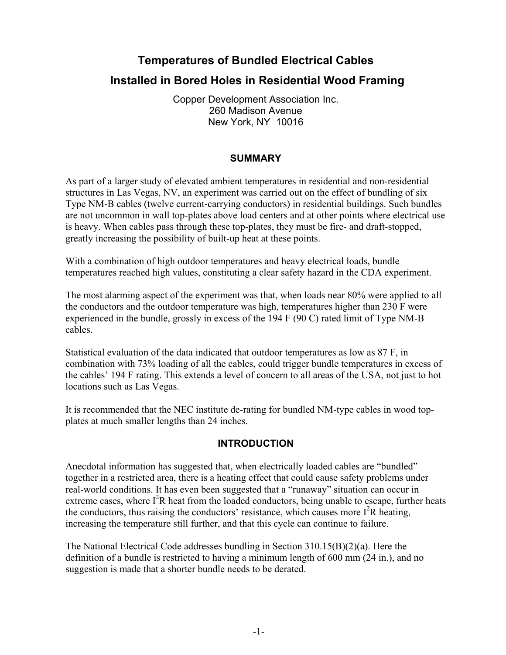# **Temperatures of Bundled Electrical Cables**

# **Installed in Bored Holes in Residential Wood Framing**

Copper Development Association Inc. 260 Madison Avenue New York, NY 10016

## **SUMMARY**

As part of a larger study of elevated ambient temperatures in residential and non-residential structures in Las Vegas, NV, an experiment was carried out on the effect of bundling of six Type NM-B cables (twelve current-carrying conductors) in residential buildings. Such bundles are not uncommon in wall top-plates above load centers and at other points where electrical use is heavy. When cables pass through these top-plates, they must be fire- and draft-stopped, greatly increasing the possibility of built-up heat at these points.

With a combination of high outdoor temperatures and heavy electrical loads, bundle temperatures reached high values, constituting a clear safety hazard in the CDA experiment.

The most alarming aspect of the experiment was that, when loads near 80% were applied to all the conductors and the outdoor temperature was high, temperatures higher than 230 F were experienced in the bundle, grossly in excess of the 194 F (90 C) rated limit of Type NM-B cables.

Statistical evaluation of the data indicated that outdoor temperatures as low as 87 F, in combination with 73% loading of all the cables, could trigger bundle temperatures in excess of the cables' 194 F rating. This extends a level of concern to all areas of the USA, not just to hot locations such as Las Vegas.

It is recommended that the NEC institute de-rating for bundled NM-type cables in wood topplates at much smaller lengths than 24 inches.

## **INTRODUCTION**

Anecdotal information has suggested that, when electrically loaded cables are "bundled" together in a restricted area, there is a heating effect that could cause safety problems under real-world conditions. It has even been suggested that a "runaway" situation can occur in extreme cases, where  $I^2R$  heat from the loaded conductors, being unable to escape, further heats the conductors, thus raising the conductors' resistance, which causes more  $I^2R$  heating, increasing the temperature still further, and that this cycle can continue to failure.

The National Electrical Code addresses bundling in Section 310.15(B)(2)(a). Here the definition of a bundle is restricted to having a minimum length of 600 mm (24 in.), and no suggestion is made that a shorter bundle needs to be derated.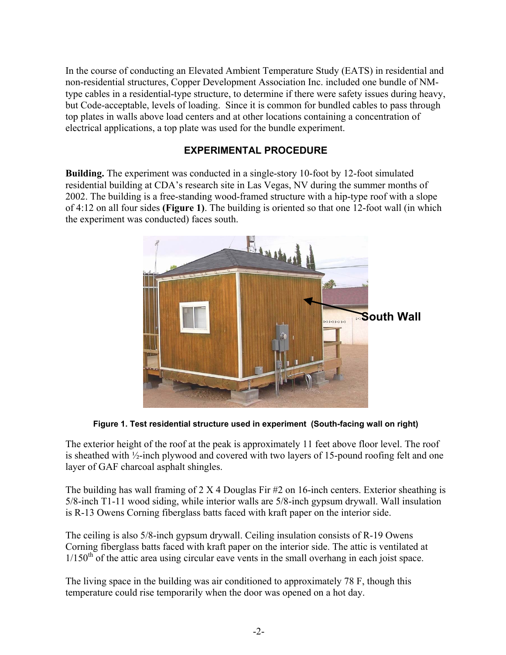In the course of conducting an Elevated Ambient Temperature Study (EATS) in residential and non-residential structures, Copper Development Association Inc. included one bundle of NMtype cables in a residential-type structure, to determine if there were safety issues during heavy, but Code-acceptable, levels of loading. Since it is common for bundled cables to pass through top plates in walls above load centers and at other locations containing a concentration of electrical applications, a top plate was used for the bundle experiment.

## **EXPERIMENTAL PROCEDURE**

**Building.** The experiment was conducted in a single-story 10-foot by 12-foot simulated residential building at CDA's research site in Las Vegas, NV during the summer months of 2002. The building is a free-standing wood-framed structure with a hip-type roof with a slope of 4:12 on all four sides **(Figure 1)**. The building is oriented so that one 12-foot wall (in which the experiment was conducted) faces south.



**Figure 1. Test residential structure used in experiment (South-facing wall on right)** 

The exterior height of the roof at the peak is approximately 11 feet above floor level. The roof is sheathed with ½-inch plywood and covered with two layers of 15-pound roofing felt and one layer of GAF charcoal asphalt shingles.

The building has wall framing of  $2 \times 4$  Douglas Fir #2 on 16-inch centers. Exterior sheathing is 5/8-inch T1-11 wood siding, while interior walls are 5/8-inch gypsum drywall. Wall insulation is R-13 Owens Corning fiberglass batts faced with kraft paper on the interior side.

The ceiling is also 5/8-inch gypsum drywall. Ceiling insulation consists of R-19 Owens Corning fiberglass batts faced with kraft paper on the interior side. The attic is ventilated at  $1/150<sup>th</sup>$  of the attic area using circular eave vents in the small overhang in each joist space.

The living space in the building was air conditioned to approximately 78 F, though this temperature could rise temporarily when the door was opened on a hot day.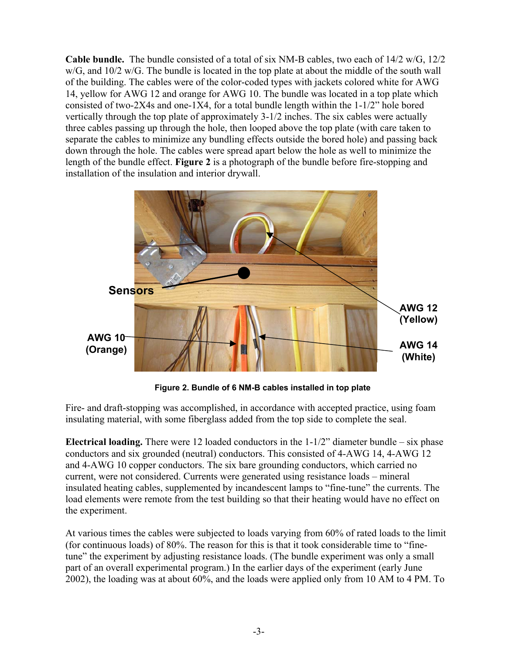**Cable bundle.** The bundle consisted of a total of six NM-B cables, two each of 14/2 w/G, 12/2 w/G, and 10/2 w/G. The bundle is located in the top plate at about the middle of the south wall of the building. The cables were of the color-coded types with jackets colored white for AWG 14, yellow for AWG 12 and orange for AWG 10. The bundle was located in a top plate which consisted of two-2X4s and one-1X4, for a total bundle length within the 1-1/2" hole bored vertically through the top plate of approximately 3-1/2 inches. The six cables were actually three cables passing up through the hole, then looped above the top plate (with care taken to separate the cables to minimize any bundling effects outside the bored hole) and passing back down through the hole. The cables were spread apart below the hole as well to minimize the length of the bundle effect. **Figure 2** is a photograph of the bundle before fire-stopping and installation of the insulation and interior drywall.



**Figure 2. Bundle of 6 NM-B cables installed in top plate** 

Fire- and draft-stopping was accomplished, in accordance with accepted practice, using foam insulating material, with some fiberglass added from the top side to complete the seal.

**Electrical loading.** There were 12 loaded conductors in the 1-1/2" diameter bundle – six phase conductors and six grounded (neutral) conductors. This consisted of 4-AWG 14, 4-AWG 12 and 4-AWG 10 copper conductors. The six bare grounding conductors, which carried no current, were not considered. Currents were generated using resistance loads – mineral insulated heating cables, supplemented by incandescent lamps to "fine-tune" the currents. The load elements were remote from the test building so that their heating would have no effect on the experiment.

At various times the cables were subjected to loads varying from 60% of rated loads to the limit (for continuous loads) of 80%. The reason for this is that it took considerable time to "finetune" the experiment by adjusting resistance loads. (The bundle experiment was only a small part of an overall experimental program.) In the earlier days of the experiment (early June 2002), the loading was at about 60%, and the loads were applied only from 10 AM to 4 PM. To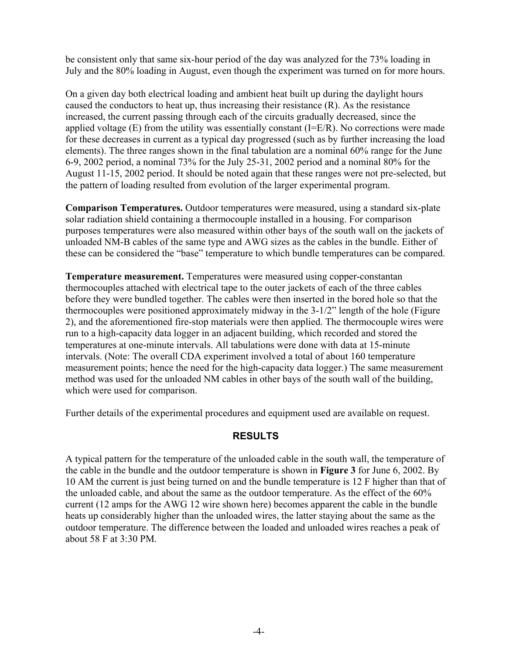be consistent only that same six-hour period of the day was analyzed for the 73% loading in July and the 80% loading in August, even though the experiment was turned on for more hours.

On a given day both electrical loading and ambient heat built up during the daylight hours caused the conductors to heat up, thus increasing their resistance (R). As the resistance increased, the current passing through each of the circuits gradually decreased, since the applied voltage  $(E)$  from the utility was essentially constant  $(I=E/R)$ . No corrections were made for these decreases in current as a typical day progressed (such as by further increasing the load elements). The three ranges shown in the final tabulation are a nominal 60% range for the June 6-9, 2002 period, a nominal 73% for the July 25-31, 2002 period and a nominal 80% for the August 11-15, 2002 period. It should be noted again that these ranges were not pre-selected, but the pattern of loading resulted from evolution of the larger experimental program.

**Comparison Temperatures.** Outdoor temperatures were measured, using a standard six-plate solar radiation shield containing a thermocouple installed in a housing. For comparison purposes temperatures were also measured within other bays of the south wall on the jackets of unloaded NM-B cables of the same type and AWG sizes as the cables in the bundle. Either of these can be considered the "base" temperature to which bundle temperatures can be compared.

**Temperature measurement.** Temperatures were measured using copper-constantan thermocouples attached with electrical tape to the outer jackets of each of the three cables before they were bundled together. The cables were then inserted in the bored hole so that the thermocouples were positioned approximately midway in the 3-1/2" length of the hole (Figure 2), and the aforementioned fire-stop materials were then applied. The thermocouple wires were run to a high-capacity data logger in an adjacent building, which recorded and stored the temperatures at one-minute intervals. All tabulations were done with data at 15-minute intervals. (Note: The overall CDA experiment involved a total of about 160 temperature measurement points; hence the need for the high-capacity data logger.) The same measurement method was used for the unloaded NM cables in other bays of the south wall of the building, which were used for comparison.

Further details of the experimental procedures and equipment used are available on request.

## **RESULTS**

A typical pattern for the temperature of the unloaded cable in the south wall, the temperature of the cable in the bundle and the outdoor temperature is shown in **Figure 3** for June 6, 2002. By 10 AM the current is just being turned on and the bundle temperature is 12 F higher than that of the unloaded cable, and about the same as the outdoor temperature. As the effect of the 60% current (12 amps for the AWG 12 wire shown here) becomes apparent the cable in the bundle heats up considerably higher than the unloaded wires, the latter staying about the same as the outdoor temperature. The difference between the loaded and unloaded wires reaches a peak of about 58 F at 3:30 PM.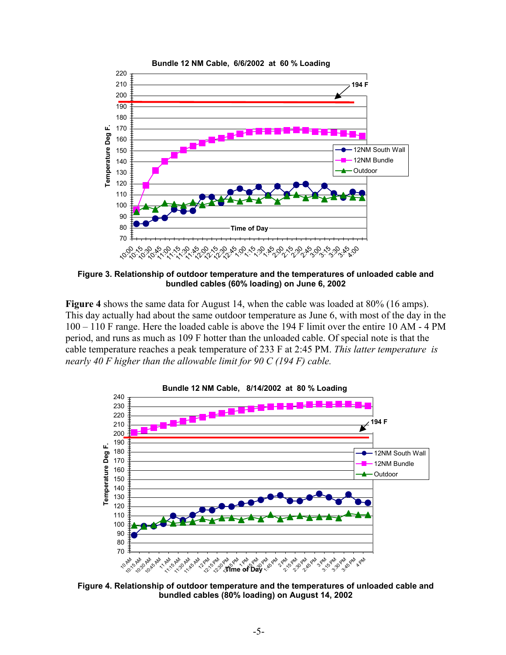

**Figure 3. Relationship of outdoor temperature and the temperatures of unloaded cable and bundled cables (60% loading) on June 6, 2002** 

**Figure 4** shows the same data for August 14, when the cable was loaded at 80% (16 amps). This day actually had about the same outdoor temperature as June 6, with most of the day in the 100 – 110 F range. Here the loaded cable is above the 194 F limit over the entire 10 AM - 4 PM period, and runs as much as 109 F hotter than the unloaded cable. Of special note is that the cable temperature reaches a peak temperature of 233 F at 2:45 PM. *This latter temperature is nearly 40 F higher than the allowable limit for 90 C (194 F) cable.* 



**Figure 4. Relationship of outdoor temperature and the temperatures of unloaded cable and bundled cables (80% loading) on August 14, 2002**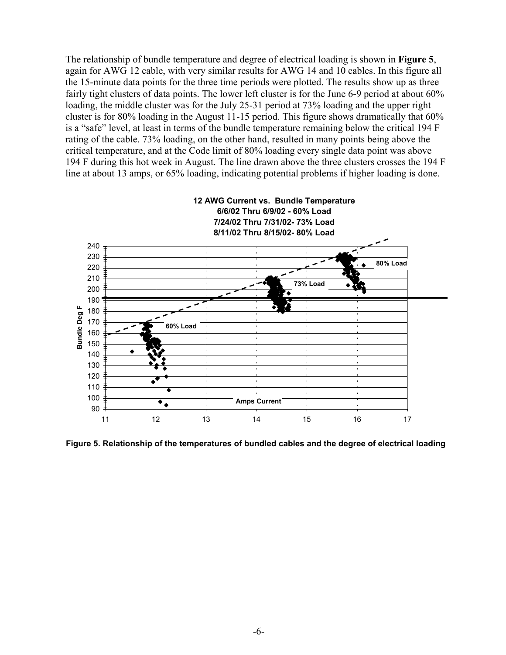The relationship of bundle temperature and degree of electrical loading is shown in **Figure 5**, again for AWG 12 cable, with very similar results for AWG 14 and 10 cables. In this figure all the 15-minute data points for the three time periods were plotted. The results show up as three fairly tight clusters of data points. The lower left cluster is for the June 6-9 period at about 60% loading, the middle cluster was for the July 25-31 period at 73% loading and the upper right cluster is for 80% loading in the August 11-15 period. This figure shows dramatically that 60% is a "safe" level, at least in terms of the bundle temperature remaining below the critical 194 F rating of the cable. 73% loading, on the other hand, resulted in many points being above the critical temperature, and at the Code limit of 80% loading every single data point was above 194 F during this hot week in August. The line drawn above the three clusters crosses the 194 F line at about 13 amps, or 65% loading, indicating potential problems if higher loading is done.



**Figure 5. Relationship of the temperatures of bundled cables and the degree of electrical loading**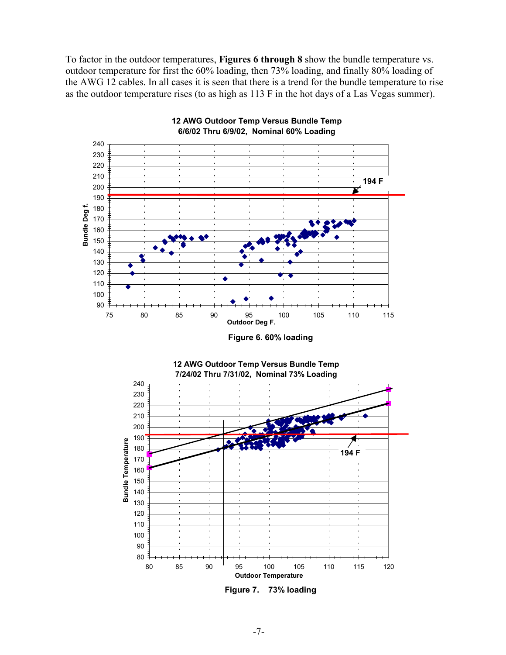To factor in the outdoor temperatures, **Figures 6 through 8** show the bundle temperature vs. outdoor temperature for first the 60% loading, then 73% loading, and finally 80% loading of the AWG 12 cables. In all cases it is seen that there is a trend for the bundle temperature to rise as the outdoor temperature rises (to as high as 113 F in the hot days of a Las Vegas summer).



**12 AWG Outdoor Temp Versus Bundle Temp 6/6/02 Thru 6/9/02, Nominal 60% Loading**

**Figure 6. 60% loading** 



**12 AWG Outdoor Temp Versus Bundle Temp**

**Figure 7. 73% loading**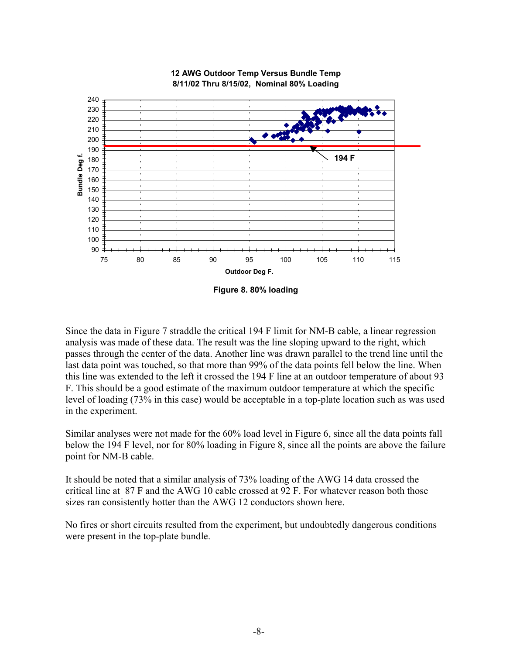

#### **12 AWG Outdoor Temp Versus Bundle Temp 8/11/02 Thru 8/15/02, Nominal 80% Loading**

**Figure 8. 80% loading** 

Since the data in Figure 7 straddle the critical 194 F limit for NM-B cable, a linear regression analysis was made of these data. The result was the line sloping upward to the right, which passes through the center of the data. Another line was drawn parallel to the trend line until the last data point was touched, so that more than 99% of the data points fell below the line. When this line was extended to the left it crossed the 194 F line at an outdoor temperature of about 93 F. This should be a good estimate of the maximum outdoor temperature at which the specific level of loading (73% in this case) would be acceptable in a top-plate location such as was used in the experiment.

Similar analyses were not made for the 60% load level in Figure 6, since all the data points fall below the 194 F level, nor for 80% loading in Figure 8, since all the points are above the failure point for NM-B cable.

It should be noted that a similar analysis of 73% loading of the AWG 14 data crossed the critical line at 87 F and the AWG 10 cable crossed at 92 F. For whatever reason both those sizes ran consistently hotter than the AWG 12 conductors shown here.

No fires or short circuits resulted from the experiment, but undoubtedly dangerous conditions were present in the top-plate bundle.